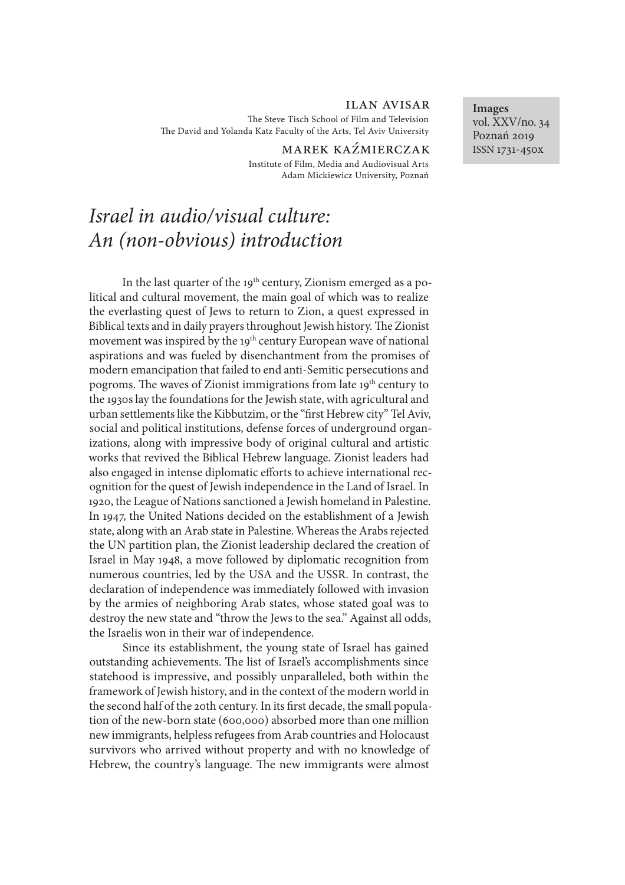# ilan avisar

The Steve Tisch School of Film and Television The David and Yolanda Katz Faculty of the Arts, Tel Aviv University

> MAREK KAŹMIERCZAK Institute of Film, Media and Audiovisual Arts Adam Mickiewicz University, Poznań

# *Israel in audio/visual culture: An (non-obvious) introduction*

In the last quarter of the  $19<sup>th</sup>$  century, Zionism emerged as a political and cultural movement, the main goal of which was to realize the everlasting quest of Jews to return to Zion, a quest expressed in Biblical texts and in daily prayers throughout Jewish history. The Zionist movement was inspired by the 19<sup>th</sup> century European wave of national aspirations and was fueled by disenchantment from the promises of modern emancipation that failed to end anti-Semitic persecutions and pogroms. The waves of Zionist immigrations from late 19<sup>th</sup> century to the 1930s lay the foundations for the Jewish state, with agricultural and urban settlements like the Kibbutzim, or the "first Hebrew city" Tel Aviv, social and political institutions, defense forces of underground organizations, along with impressive body of original cultural and artistic works that revived the Biblical Hebrew language. Zionist leaders had also engaged in intense diplomatic efforts to achieve international recognition for the quest of Jewish independence in the Land of Israel. In 1920, the League of Nations sanctioned a Jewish homeland in Palestine. In 1947, the United Nations decided on the establishment of a Jewish state, along with an Arab state in Palestine. Whereas the Arabs rejected the UN partition plan, the Zionist leadership declared the creation of Israel in May 1948, a move followed by diplomatic recognition from numerous countries, led by the USA and the USSR. In contrast, the declaration of independence was immediately followed with invasion by the armies of neighboring Arab states, whose stated goal was to destroy the new state and "throw the Jews to the sea." Against all odds, the Israelis won in their war of independence.

Since its establishment, the young state of Israel has gained outstanding achievements. The list of Israel's accomplishments since statehood is impressive, and possibly unparalleled, both within the framework of Jewish history, and in the context of the modern world in the second half of the 20th century. In its first decade, the small population of the new-born state (600,000) absorbed more than one million new immigrants, helpless refugees from Arab countries and Holocaust survivors who arrived without property and with no knowledge of Hebrew, the country's language. The new immigrants were almost

**Images** vol. XXV/no. 34 Poznań 2019 ISSN 1731-450x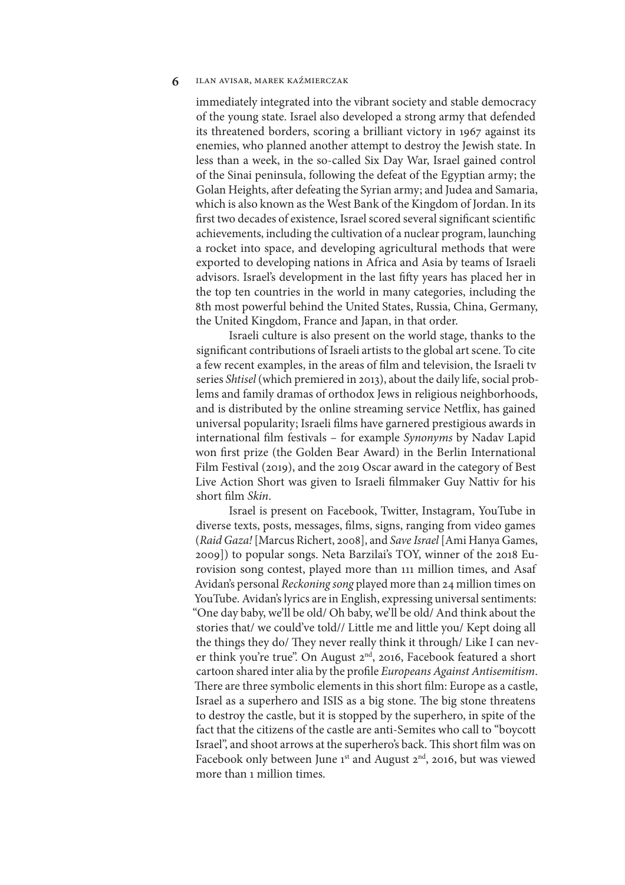immediately integrated into the vibrant society and stable democracy of the young state. Israel also developed a strong army that defended its threatened borders, scoring a brilliant victory in 1967 against its enemies, who planned another attempt to destroy the Jewish state. In less than a week, in the so-called Six Day War, Israel gained control of the Sinai peninsula, following the defeat of the Egyptian army; the Golan Heights, after defeating the Syrian army; and Judea and Samaria, which is also known as the West Bank of the Kingdom of Jordan. In its first two decades of existence, Israel scored several significant scientific achievements, including the cultivation of a nuclear program, launching a rocket into space, and developing agricultural methods that were exported to developing nations in Africa and Asia by teams of Israeli advisors. Israel's development in the last fifty years has placed her in the top ten countries in the world in many categories, including the 8th most powerful behind the United States, Russia, China, Germany, the United Kingdom, France and Japan, in that order.

Israeli culture is also present on the world stage, thanks to the significant contributions of Israeli artists to the global art scene. To cite a few recent examples, in the areas of film and television, the Israeli tv series *Shtisel* (which premiered in 2013), about the daily life, social problems and family dramas of orthodox Jews in religious neighborhoods, and is distributed by the online streaming service Netflix, has gained universal popularity; Israeli films have garnered prestigious awards in international film festivals - for example *Synonyms* by Nadav Lapid won first prize (the Golden Bear Award) in the Berlin International Film Festival (2019), and the 2019 Oscar award in the category of Best Live Action Short was given to Israeli filmmaker Guy Nattiv for his short film *Skin*.

Israel is present on Facebook, Twitter, Instagram, YouTube in diverse texts, posts, messages, films, signs, ranging from video games (*Raid Gaza!* [Marcus Richert, 2008], and *Save Israel* [Ami Hanya Games, 2009]) to popular songs. Neta Barzilai's TOY, winner of the 2018 Eurovision song contest, played more than 111 million times, and Asaf Avidan's personal *Reckoning song* played more than 24 million times on YouTube. Avidan's lyrics are in English, expressing universal sentiments: "One day baby, we'll be old/ Oh baby, we'll be old/ And think about the stories that/ we could've told// Little me and little you/ Kept doing all the things they do/ They never really think it through/ Like I can never think you're true". On August 2<sup>nd</sup>, 2016, Facebook featured a short cartoon shared inter alia by the profile *Europeans Against Antisemitism*. There are three symbolic elements in this short film: Europe as a castle, Israel as a superhero and ISIS as a big stone. The big stone threatens to destroy the castle, but it is stopped by the superhero, in spite of the fact that the citizens of the castle are anti-Semites who call to "boycott Israel", and shoot arrows at the superhero's back. This short film was on Facebook only between June  $1^{st}$  and August  $2^{nd}$ , 2016, but was viewed more than 1 million times.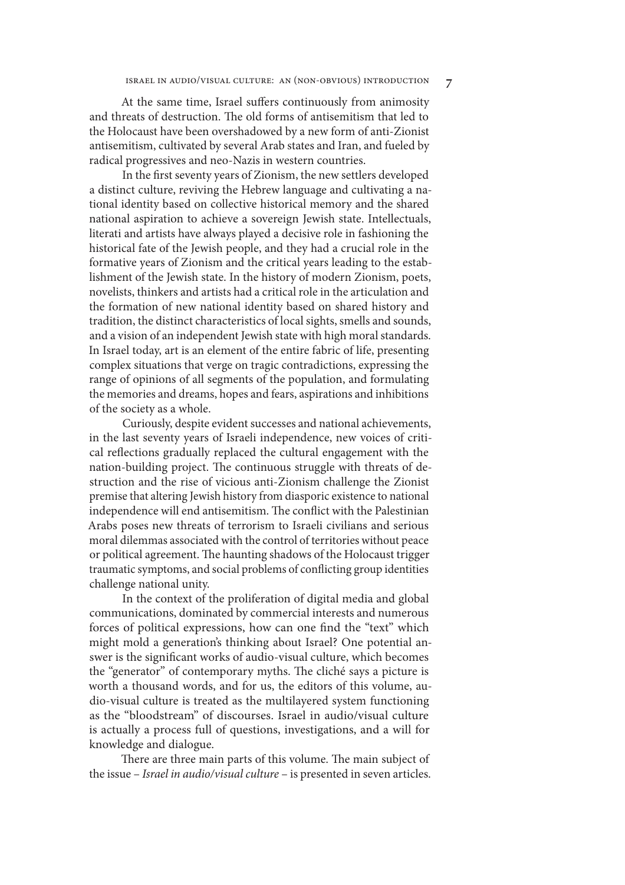At the same time, Israel suffers continuously from animosity and threats of destruction. The old forms of antisemitism that led to the Holocaust have been overshadowed by a new form of anti-Zionist antisemitism, cultivated by several Arab states and Iran, and fueled by radical progressives and neo-Nazis in western countries.

In the first seventy years of Zionism, the new settlers developed a distinct culture, reviving the Hebrew language and cultivating a national identity based on collective historical memory and the shared national aspiration to achieve a sovereign Jewish state. Intellectuals, literati and artists have always played a decisive role in fashioning the historical fate of the Jewish people, and they had a crucial role in the formative years of Zionism and the critical years leading to the establishment of the Jewish state. In the history of modern Zionism, poets, novelists, thinkers and artists had a critical role in the articulation and the formation of new national identity based on shared history and tradition, the distinct characteristics of local sights, smells and sounds, and a vision of an independent Jewish state with high moral standards. In Israel today, art is an element of the entire fabric of life, presenting complex situations that verge on tragic contradictions, expressing the range of opinions of all segments of the population, and formulating the memories and dreams, hopes and fears, aspirations and inhibitions of the society as a whole.

Curiously, despite evident successes and national achievements, in the last seventy years of Israeli independence, new voices of critical reflections gradually replaced the cultural engagement with the nation-building project. The continuous struggle with threats of destruction and the rise of vicious anti-Zionism challenge the Zionist premise that altering Jewish history from diasporic existence to national independence will end antisemitism. The conflict with the Palestinian Arabs poses new threats of terrorism to Israeli civilians and serious moral dilemmas associated with the control of territories without peace or political agreement. The haunting shadows of the Holocaust trigger traumatic symptoms, and social problems of conflicting group identities challenge national unity.

In the context of the proliferation of digital media and global communications, dominated by commercial interests and numerous forces of political expressions, how can one find the "text" which might mold a generation's thinking about Israel? One potential answer is the significant works of audio-visual culture, which becomes the "generator" of contemporary myths. The cliché says a picture is worth a thousand words, and for us, the editors of this volume, audio-visual culture is treated as the multilayered system functioning as the "bloodstream" of discourses. Israel in audio/visual culture is actually a process full of questions, investigations, and a will for knowledge and dialogue.

There are three main parts of this volume. The main subject of the issue – *Israel in audio/visual culture* – is presented in seven articles.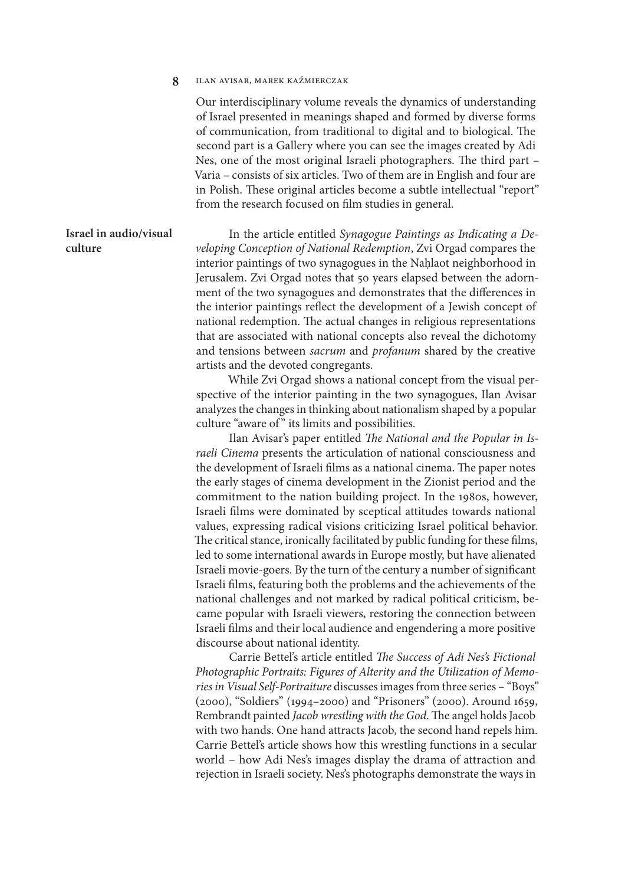Our interdisciplinary volume reveals the dynamics of understanding of Israel presented in meanings shaped and formed by diverse forms of communication, from traditional to digital and to biological. The second part is a Gallery where you can see the images created by Adi Nes, one of the most original Israeli photographers. The third part – Varia – consists of six articles. Two of them are in English and four are in Polish. These original articles become a subtle intellectual "report" from the research focused on film studies in general.

In the article entitled *Synagogue Paintings as Indicating a Developing Conception of National Redemption*, Zvi Orgad compares the interior paintings of two synagogues in the Nahlaot neighborhood in Jerusalem. Zvi Orgad notes that 50 years elapsed between the adornment of the two synagogues and demonstrates that the differences in the interior paintings reflect the development of a Jewish concept of national redemption. The actual changes in religious representations that are associated with national concepts also reveal the dichotomy and tensions between *sacrum* and *profanum* shared by the creative artists and the devoted congregants.

> While Zvi Orgad shows a national concept from the visual perspective of the interior painting in the two synagogues, Ilan Avisar analyzes the changes in thinking about nationalism shaped by a popular culture "aware of" its limits and possibilities.

> Ilan Avisar's paper entitled *The National and the Popular in Israeli Cinema* presents the articulation of national consciousness and the development of Israeli films as a national cinema. The paper notes the early stages of cinema development in the Zionist period and the commitment to the nation building project. In the 1980s, however, Israeli films were dominated by sceptical attitudes towards national values, expressing radical visions criticizing Israel political behavior. The critical stance, ironically facilitated by public funding for these films, led to some international awards in Europe mostly, but have alienated Israeli movie-goers. By the turn of the century a number of significant Israeli films, featuring both the problems and the achievements of the national challenges and not marked by radical political criticism, became popular with Israeli viewers, restoring the connection between Israeli films and their local audience and engendering a more positive discourse about national identity.

> Carrie Bettel's article entitled The Success of Adi Nes's Fictional *Photographic Portraits: Figures of Alterity and the Utilization of Memories in Visual Self-Portraiture* discusses images from three series – "Boys" (2000), "Soldiers" (1994–2000) and "Prisoners" (2000). Around 1659, Rembrandt painted *Jacob wrestling with the God*. The angel holds Jacob with two hands. One hand attracts Jacob, the second hand repels him. Carrie Bettel's article shows how this wrestling functions in a secular world – how Adi Nes's images display the drama of attraction and rejection in Israeli society. Nes's photographs demonstrate the ways in

# **Israel in audio/visual culture**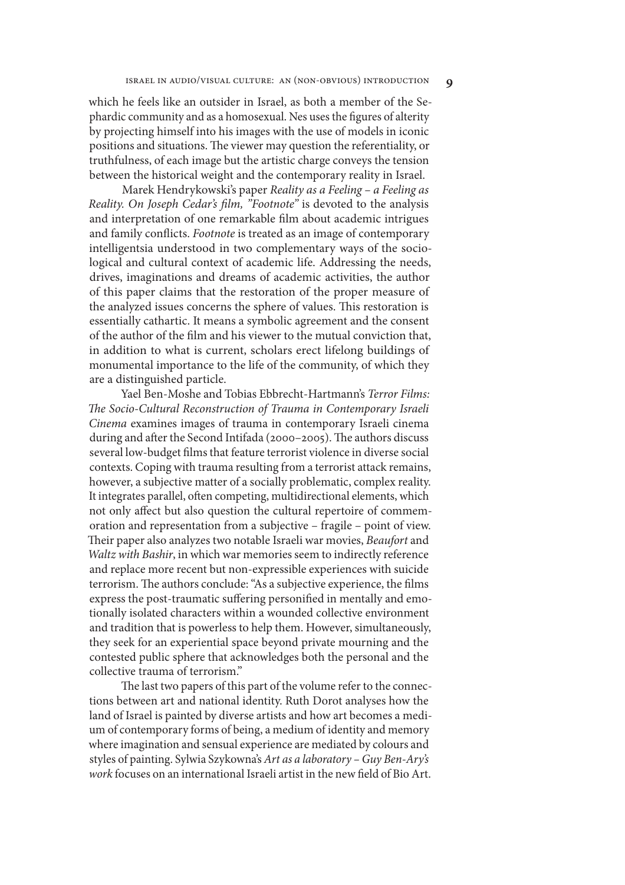which he feels like an outsider in Israel, as both a member of the Sephardic community and as a homosexual. Nes uses the figures of alterity by projecting himself into his images with the use of models in iconic positions and situations. The viewer may question the referentiality, or truthfulness, of each image but the artistic charge conveys the tension between the historical weight and the contemporary reality in Israel.

Marek Hendrykowski's paper *Reality as a Feeling – a Feeling as Reality. On Joseph Cedar's* #*lm, "Footnote"* is devoted to the analysis and interpretation of one remarkable film about academic intrigues and family conflicts. *Footnote* is treated as an image of contemporary intelligentsia understood in two complementary ways of the sociological and cultural context of academic life. Addressing the needs, drives, imaginations and dreams of academic activities, the author of this paper claims that the restoration of the proper measure of the analyzed issues concerns the sphere of values. This restoration is essentially cathartic. It means a symbolic agreement and the consent of the author of the film and his viewer to the mutual conviction that, in addition to what is current, scholars erect lifelong buildings of monumental importance to the life of the community, of which they are a distinguished particle.

Yael Ben-Moshe and Tobias Ebbrecht-Hartmann's *Terror Films:*  "*e Socio-Cultural Reconstruction of Trauma in Contemporary Israeli Cinema* examines images of trauma in contemporary Israeli cinema during and after the Second Intifada (2000–2005). The authors discuss several low-budget films that feature terrorist violence in diverse social contexts. Coping with trauma resulting from a terrorist attack remains, however, a subjective matter of a socially problematic, complex reality. It integrates parallel, often competing, multidirectional elements, which not only affect but also question the cultural repertoire of commemoration and representation from a subjective – fragile – point of view. 8eir paper also analyzes two notable Israeli war movies, *Beaufort* and *Waltz with Bashir*, in which war memories seem to indirectly reference and replace more recent but non-expressible experiences with suicide terrorism. The authors conclude: "As a subjective experience, the films express the post-traumatic suffering personified in mentally and emotionally isolated characters within a wounded collective environment and tradition that is powerless to help them. However, simultaneously, they seek for an experiential space beyond private mourning and the contested public sphere that acknowledges both the personal and the collective trauma of terrorism."

The last two papers of this part of the volume refer to the connections between art and national identity. Ruth Dorot analyses how the land of Israel is painted by diverse artists and how art becomes a medium of contemporary forms of being, a medium of identity and memory where imagination and sensual experience are mediated by colours and styles of painting. Sylwia Szykowna's *Art as a laboratory – Guy Ben-Ary's work* focuses on an international Israeli artist in the new field of Bio Art.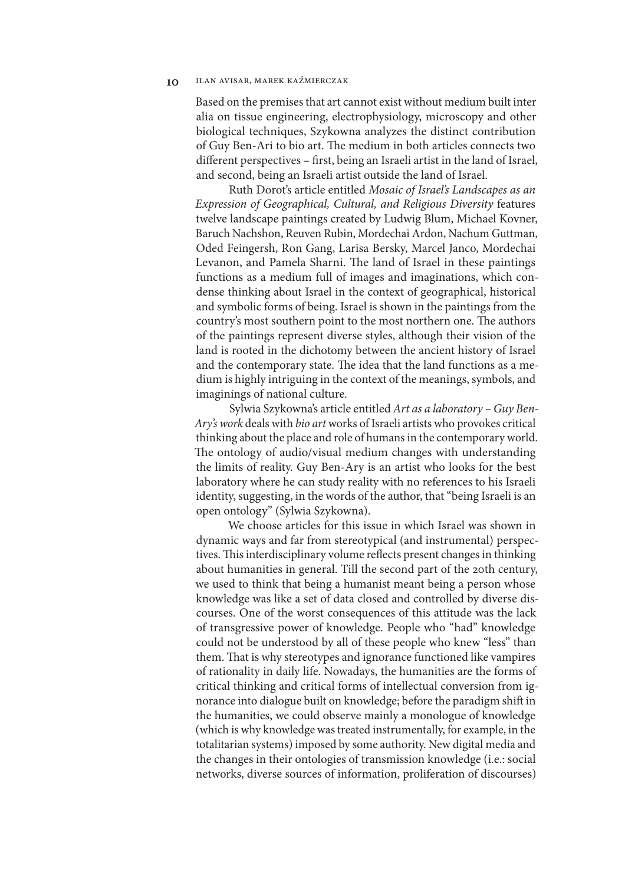Based on the premises that art cannot exist without medium built inter alia on tissue engineering, electrophysiology, microscopy and other biological techniques, Szykowna analyzes the distinct contribution of Guy Ben-Ari to bio art. The medium in both articles connects two different perspectives – first, being an Israeli artist in the land of Israel, and second, being an Israeli artist outside the land of Israel.

Ruth Dorot's article entitled *Mosaic of Israel's Landscapes as an Expression of Geographical, Cultural, and Religious Diversity* features twelve landscape paintings created by Ludwig Blum, Michael Kovner, Baruch Nachshon, Reuven Rubin, Mordechai Ardon, Nachum Guttman, Oded Feingersh, Ron Gang, Larisa Bersky, Marcel Janco, Mordechai Levanon, and Pamela Sharni. The land of Israel in these paintings functions as a medium full of images and imaginations, which condense thinking about Israel in the context of geographical, historical and symbolic forms of being. Israel is shown in the paintings from the country's most southern point to the most northern one. The authors of the paintings represent diverse styles, although their vision of the land is rooted in the dichotomy between the ancient history of Israel and the contemporary state. The idea that the land functions as a medium is highly intriguing in the context of the meanings, symbols, and imaginings of national culture.

Sylwia Szykowna's article entitled *Art as a laboratory – Guy Ben-Ary's work* deals with *bio art* works of Israeli artists who provokes critical thinking about the place and role of humans in the contemporary world. The ontology of audio/visual medium changes with understanding the limits of reality. Guy Ben-Ary is an artist who looks for the best laboratory where he can study reality with no references to his Israeli identity, suggesting, in the words of the author, that "being Israeli is an open ontology" (Sylwia Szykowna).

We choose articles for this issue in which Israel was shown in dynamic ways and far from stereotypical (and instrumental) perspectives. This interdisciplinary volume reflects present changes in thinking about humanities in general. Till the second part of the 20th century, we used to think that being a humanist meant being a person whose knowledge was like a set of data closed and controlled by diverse discourses. One of the worst consequences of this attitude was the lack of transgressive power of knowledge. People who "had" knowledge could not be understood by all of these people who knew "less" than them. That is why stereotypes and ignorance functioned like vampires of rationality in daily life. Nowadays, the humanities are the forms of critical thinking and critical forms of intellectual conversion from ignorance into dialogue built on knowledge; before the paradigm shift in the humanities, we could observe mainly a monologue of knowledge (which is why knowledge was treated instrumentally, for example, in the totalitarian systems) imposed by some authority. New digital media and the changes in their ontologies of transmission knowledge (i.e.: social networks, diverse sources of information, proliferation of discourses)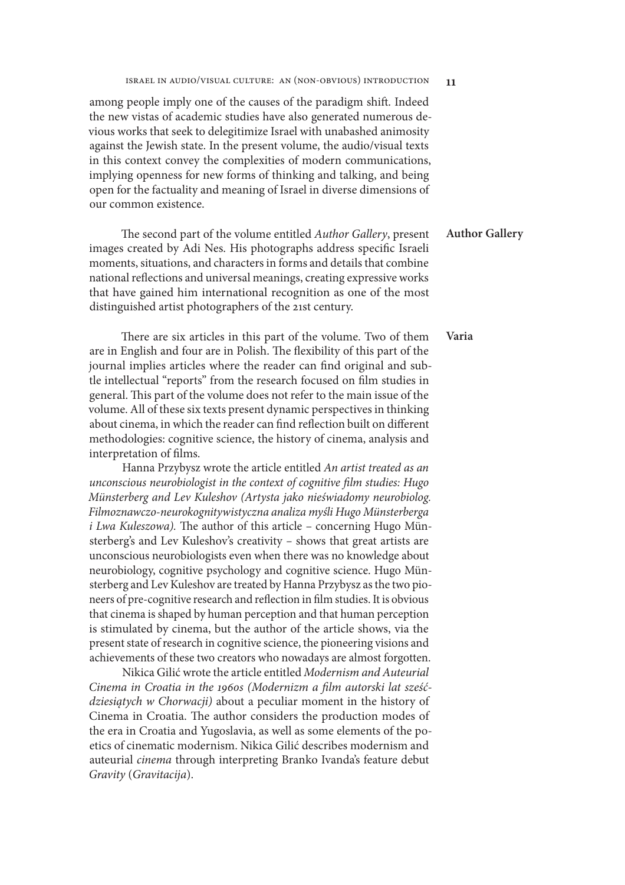# israel in audio/visual culture: an (non-obvious) introduction **11**

among people imply one of the causes of the paradigm shift. Indeed the new vistas of academic studies have also generated numerous devious works that seek to delegitimize Israel with unabashed animosity against the Jewish state. In the present volume, the audio/visual texts in this context convey the complexities of modern communications, implying openness for new forms of thinking and talking, and being open for the factuality and meaning of Israel in diverse dimensions of our common existence.

The second part of the volume entitled *Author Gallery*, present images created by Adi Nes. His photographs address specific Israeli moments, situations, and characters in forms and details that combine national reflections and universal meanings, creating expressive works that have gained him international recognition as one of the most distinguished artist photographers of the 21st century. **Author Gallery**

There are six articles in this part of the volume. Two of them are in English and four are in Polish. The flexibility of this part of the journal implies articles where the reader can find original and subtle intellectual "reports" from the research focused on film studies in general. This part of the volume does not refer to the main issue of the volume. All of these six texts present dynamic perspectives in thinking about cinema, in which the reader can find reflection built on different methodologies: cognitive science, the history of cinema, analysis and interpretation of films. **Varia**

Hanna Przybysz wrote the article entitled *An artist treated as an unconscious neurobiologist in the context of cognitive film studies: Hugo Münsterberg and Lev Kuleshov (Artysta jako nie*ś*wiadomy neurobiolog. Filmoznawczo-neurokognitywistyczna analiza my*ś*li Hugo Münsterberga i Lwa Kuleszowa*). The author of this article – concerning Hugo Münsterberg's and Lev Kuleshov's creativity *–* shows that great artists are unconscious neurobiologists even when there was no knowledge about neurobiology, cognitive psychology and cognitive science. Hugo Münsterberg and Lev Kuleshov are treated by Hanna Przybysz as the two pioneers of pre-cognitive research and reflection in film studies. It is obvious that cinema is shaped by human perception and that human perception is stimulated by cinema, but the author of the article shows, via the present state of research in cognitive science, the pioneering visions and achievements of these two creators who nowadays are almost forgotten.

Nikica Gilić wrote the article entitled *Modernism and Auteurial*  Cinema in Croatia in the 1960s (Modernizm a film autorski lat sześć*dziesi*ą*tych w Chorwacji)* about a peculiar moment in the history of Cinema in Croatia. The author considers the production modes of the era in Croatia and Yugoslavia, as well as some elements of the poetics of cinematic modernism. Nikica Gilić describes modernism and auteurial *cinema* through interpreting Branko Ivanda's feature debut *Gravity* (*Gravitacija*).